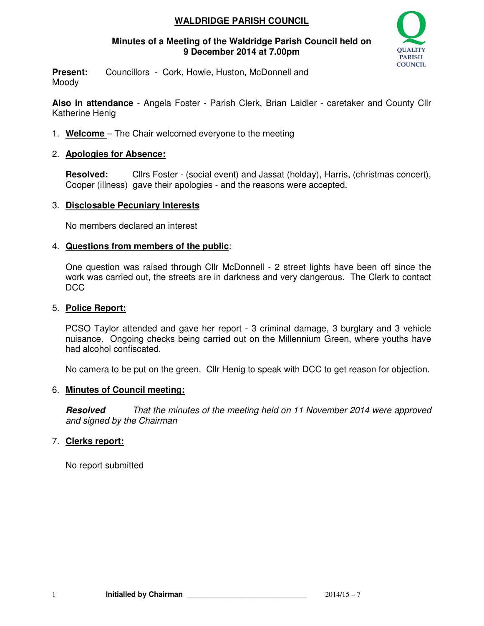# **WALDRIDGE PARISH COUNCIL**

## **Minutes of a Meeting of the Waldridge Parish Council held on 9 December 2014 at 7.00pm**



**Present:** Councillors - Cork, Howie, Huston, McDonnell and Moody

**Also in attendance** - Angela Foster - Parish Clerk, Brian Laidler - caretaker and County Cllr Katherine Henig

1. **Welcome** – The Chair welcomed everyone to the meeting

# 2. **Apologies for Absence:**

**Resolved:** Cllrs Foster - (social event) and Jassat (holday), Harris, (christmas concert), Cooper (illness) gave their apologies - and the reasons were accepted.

# 3. **Disclosable Pecuniary Interests**

No members declared an interest

# 4. **Questions from members of the public**:

One question was raised through Cllr McDonnell - 2 street lights have been off since the work was carried out, the streets are in darkness and very dangerous. The Clerk to contact D<sub>C</sub>C

## 5. **Police Report:**

PCSO Taylor attended and gave her report - 3 criminal damage, 3 burglary and 3 vehicle nuisance. Ongoing checks being carried out on the Millennium Green, where youths have had alcohol confiscated.

No camera to be put on the green. Cllr Henig to speak with DCC to get reason for objection.

## 6. **Minutes of Council meeting:**

**Resolved** That the minutes of the meeting held on 11 November 2014 were approved and signed by the Chairman

# 7. **Clerks report:**

No report submitted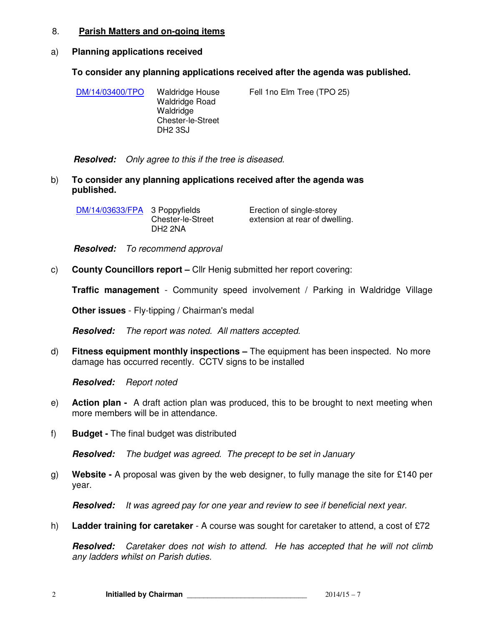### 8. **Parish Matters and on-going items**

### a) **Planning applications received**

## **To consider any planning applications received after the agenda was published.**

|  | DM/14/03400/TPO | Waldridge House<br><b>Waldridge Road</b><br>Waldridge<br>Chester-le-Street<br>DH <sub>2</sub> 3SJ | Fell 1 no Elm Tree (TPO 25) |
|--|-----------------|---------------------------------------------------------------------------------------------------|-----------------------------|
|--|-----------------|---------------------------------------------------------------------------------------------------|-----------------------------|

**Resolved:** Only agree to this if the tree is diseased.

b) **To consider any planning applications received after the agenda was published.** 

| DM/14/03633/FPA 3 Poppyfields |                   | Erection of single-storey      |  |
|-------------------------------|-------------------|--------------------------------|--|
|                               | Chester-le-Street | extension at rear of dwelling. |  |
|                               | DH2 2NA           |                                |  |

**Resolved:** To recommend approval

c) **County Councillors report –** Cllr Henig submitted her report covering:

**Traffic management** - Community speed involvement / Parking in Waldridge Village

**Other issues** - Fly-tipping / Chairman's medal

**Resolved:** The report was noted. All matters accepted.

d) **Fitness equipment monthly inspections –** The equipment has been inspected. No more damage has occurred recently. CCTV signs to be installed

**Resolved:** Report noted

- e) **Action plan** A draft action plan was produced, this to be brought to next meeting when more members will be in attendance.
- f) **Budget** The final budget was distributed

**Resolved:** The budget was agreed. The precept to be set in January

g) **Website -** A proposal was given by the web designer, to fully manage the site for £140 per year.

**Resolved:** It was agreed pay for one year and review to see if beneficial next year.

h) **Ladder training for caretaker** - A course was sought for caretaker to attend, a cost of £72

**Resolved:** Caretaker does not wish to attend. He has accepted that he will not climb any ladders whilst on Parish duties.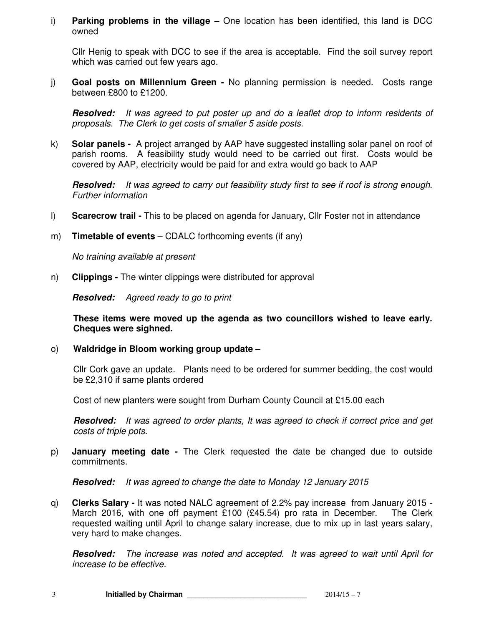i) **Parking problems in the village –** One location has been identified, this land is DCC owned

Cllr Henig to speak with DCC to see if the area is acceptable. Find the soil survey report which was carried out few years ago.

j) **Goal posts on Millennium Green -** No planning permission is needed. Costs range between £800 to £1200.

**Resolved:** It was agreed to put poster up and do a leaflet drop to inform residents of proposals. The Clerk to get costs of smaller 5 aside posts.

k) **Solar panels -** A project arranged by AAP have suggested installing solar panel on roof of parish rooms. A feasibility study would need to be carried out first. Costs would be covered by AAP, electricity would be paid for and extra would go back to AAP

**Resolved:** It was agreed to carry out feasibility study first to see if roof is strong enough. Further information

- l) **Scarecrow trail -** This to be placed on agenda for January, Cllr Foster not in attendance
- m) **Timetable of events** CDALC forthcoming events (if any)

No training available at present

n) **Clippings -** The winter clippings were distributed for approval

**Resolved:** Agreed ready to go to print

**These items were moved up the agenda as two councillors wished to leave early. Cheques were sighned.** 

o) **Waldridge in Bloom working group update –** 

Cllr Cork gave an update. Plants need to be ordered for summer bedding, the cost would be £2,310 if same plants ordered

Cost of new planters were sought from Durham County Council at £15.00 each

**Resolved:** It was agreed to order plants, It was agreed to check if correct price and get costs of triple pots.

p) **January meeting date -** The Clerk requested the date be changed due to outside commitments.

**Resolved:** It was agreed to change the date to Monday 12 January 2015

q) **Clerks Salary -** It was noted NALC agreement of 2.2% pay increase from January 2015 - March 2016, with one off payment £100 (£45.54) pro rata in December. The Clerk requested waiting until April to change salary increase, due to mix up in last years salary, very hard to make changes.

**Resolved:** The increase was noted and accepted. It was agreed to wait until April for increase to be effective.